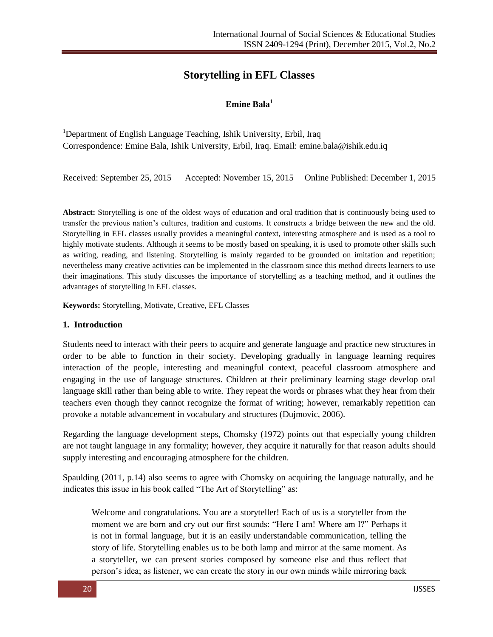# **Storytelling in EFL Classes**

## **Emine Bala<sup>1</sup>**

<sup>1</sup>Department of English Language Teaching, Ishik University, Erbil, Iraq Correspondence: Emine Bala, Ishik University, Erbil, Iraq. Email: emine.bala@ishik.edu.iq

Received: September 25, 2015 Accepted: November 15, 2015 Online Published: December 1, 2015

**Abstract:** Storytelling is one of the oldest ways of education and oral tradition that is continuously being used to transfer the previous nation's cultures, tradition and customs. It constructs a bridge between the new and the old. Storytelling in EFL classes usually provides a meaningful context, interesting atmosphere and is used as a tool to highly motivate students. Although it seems to be mostly based on speaking, it is used to promote other skills such as writing, reading, and listening. Storytelling is mainly regarded to be grounded on imitation and repetition; nevertheless many creative activities can be implemented in the classroom since this method directs learners to use their imaginations. This study discusses the importance of storytelling as a teaching method, and it outlines the advantages of storytelling in EFL classes.

**Keywords:** Storytelling, Motivate, Creative, EFL Classes

### **1. Introduction**

Students need to interact with their peers to acquire and generate language and practice new structures in order to be able to function in their society. Developing gradually in language learning requires interaction of the people, interesting and meaningful context, peaceful classroom atmosphere and engaging in the use of language structures. Children at their preliminary learning stage develop oral language skill rather than being able to write. They repeat the words or phrases what they hear from their teachers even though they cannot recognize the format of writing; however, remarkably repetition can provoke a notable advancement in vocabulary and structures (Dujmovic, 2006).

Regarding the language development steps, Chomsky (1972) points out that especially young children are not taught language in any formality; however, they acquire it naturally for that reason adults should supply interesting and encouraging atmosphere for the children.

Spaulding (2011, p.14) also seems to agree with Chomsky on acquiring the language naturally, and he indicates this issue in his book called "The Art of Storytelling" as:

Welcome and congratulations. You are a storyteller! Each of us is a storyteller from the moment we are born and cry out our first sounds: "Here I am! Where am I?" Perhaps it is not in formal language, but it is an easily understandable communication, telling the story of life. Storytelling enables us to be both lamp and mirror at the same moment. As a storyteller, we can present stories composed by someone else and thus reflect that person's idea; as listener, we can create the story in our own minds while mirroring back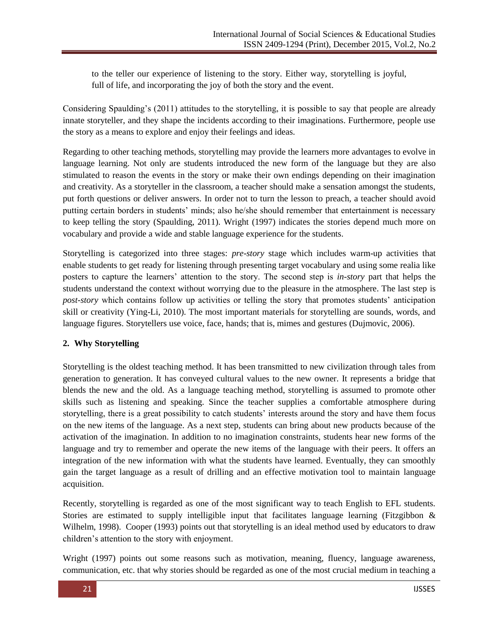to the teller our experience of listening to the story. Either way, storytelling is joyful, full of life, and incorporating the joy of both the story and the event.

Considering Spaulding's (2011) attitudes to the storytelling, it is possible to say that people are already innate storyteller, and they shape the incidents according to their imaginations. Furthermore, people use the story as a means to explore and enjoy their feelings and ideas.

Regarding to other teaching methods, storytelling may provide the learners more advantages to evolve in language learning. Not only are students introduced the new form of the language but they are also stimulated to reason the events in the story or make their own endings depending on their imagination and creativity. As a storyteller in the classroom, a teacher should make a sensation amongst the students, put forth questions or deliver answers. In order not to turn the lesson to preach, a teacher should avoid putting certain borders in students' minds; also he/she should remember that entertainment is necessary to keep telling the story (Spaulding, 2011). Wright (1997) indicates the stories depend much more on vocabulary and provide a wide and stable language experience for the students.

Storytelling is categorized into three stages: *pre-story* stage which includes warm-up activities that enable students to get ready for listening through presenting target vocabulary and using some realia like posters to capture the learners' attention to the story. The second step is *in-story* part that helps the students understand the context without worrying due to the pleasure in the atmosphere. The last step is *post-story* which contains follow up activities or telling the story that promotes students' anticipation skill or creativity (Ying-Li, 2010). The most important materials for storytelling are sounds, words, and language figures. Storytellers use voice, face, hands; that is, mimes and gestures (Dujmovic, 2006).

## **2. Why Storytelling**

Storytelling is the oldest teaching method. It has been transmitted to new civilization through tales from generation to generation. It has conveyed cultural values to the new owner. It represents a bridge that blends the new and the old. As a language teaching method, storytelling is assumed to promote other skills such as listening and speaking. Since the teacher supplies a comfortable atmosphere during storytelling, there is a great possibility to catch students' interests around the story and have them focus on the new items of the language. As a next step, students can bring about new products because of the activation of the imagination. In addition to no imagination constraints, students hear new forms of the language and try to remember and operate the new items of the language with their peers. It offers an integration of the new information with what the students have learned. Eventually, they can smoothly gain the target language as a result of drilling and an effective motivation tool to maintain language acquisition.

Recently, storytelling is regarded as one of the most significant way to teach English to EFL students. Stories are estimated to supply intelligible input that facilitates language learning (Fitzgibbon & Wilhelm, 1998). Cooper (1993) points out that storytelling is an ideal method used by educators to draw children's attention to the story with enjoyment.

Wright (1997) points out some reasons such as motivation, meaning, fluency, language awareness, communication, etc. that why stories should be regarded as one of the most crucial medium in teaching a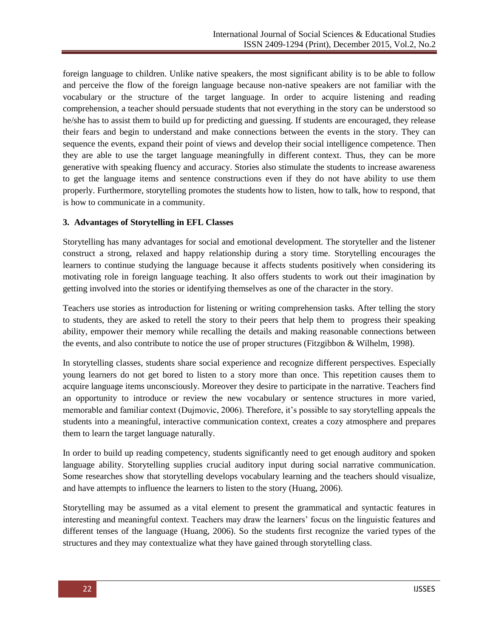foreign language to children. Unlike native speakers, the most significant ability is to be able to follow and perceive the flow of the foreign language because non-native speakers are not familiar with the vocabulary or the structure of the target language. In order to acquire listening and reading comprehension, a teacher should persuade students that not everything in the story can be understood so he/she has to assist them to build up for predicting and guessing. If students are encouraged, they release their fears and begin to understand and make connections between the events in the story. They can sequence the events, expand their point of views and develop their social intelligence competence. Then they are able to use the target language meaningfully in different context. Thus, they can be more generative with speaking fluency and accuracy. Stories also stimulate the students to increase awareness to get the language items and sentence constructions even if they do not have ability to use them properly. Furthermore, storytelling promotes the students how to listen, how to talk, how to respond, that is how to communicate in a community.

## **3. Advantages of Storytelling in EFL Classes**

Storytelling has many advantages for social and emotional development. The storyteller and the listener construct a strong, relaxed and happy relationship during a story time. Storytelling encourages the learners to continue studying the language because it affects students positively when considering its motivating role in foreign language teaching. It also offers students to work out their imagination by getting involved into the stories or identifying themselves as one of the character in the story.

Teachers use stories as introduction for listening or writing comprehension tasks. After telling the story to students, they are asked to retell the story to their peers that help them to progress their speaking ability, empower their memory while recalling the details and making reasonable connections between the events, and also contribute to notice the use of proper structures (Fitzgibbon & Wilhelm, 1998).

In storytelling classes, students share social experience and recognize different perspectives. Especially young learners do not get bored to listen to a story more than once. This repetition causes them to acquire language items unconsciously. Moreover they desire to participate in the narrative. Teachers find an opportunity to introduce or review the new vocabulary or sentence structures in more varied, memorable and familiar context (Dujmovic, 2006). Therefore, it's possible to say storytelling appeals the students into a meaningful, interactive communication context, creates a cozy atmosphere and prepares them to learn the target language naturally.

In order to build up reading competency, students significantly need to get enough auditory and spoken language ability. Storytelling supplies crucial auditory input during social narrative communication. Some researches show that storytelling develops vocabulary learning and the teachers should visualize, and have attempts to influence the learners to listen to the story (Huang, 2006).

Storytelling may be assumed as a vital element to present the grammatical and syntactic features in interesting and meaningful context. Teachers may draw the learners' focus on the linguistic features and different tenses of the language (Huang, 2006). So the students first recognize the varied types of the structures and they may contextualize what they have gained through storytelling class.